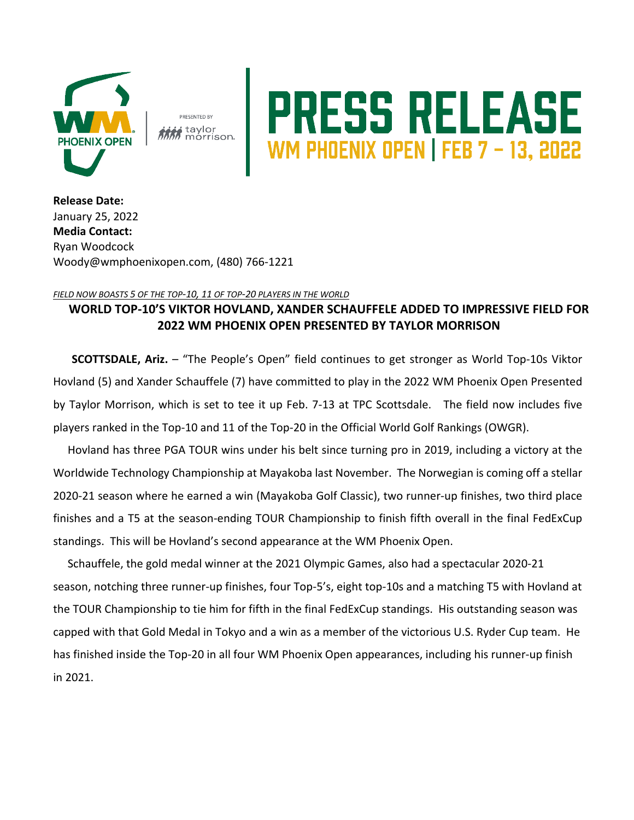

**PRESENTED BY :** taylor<br>*M* morrison.

## PRESS RELEASE

**Release Date:**  January 25, 2022 **Media Contact:** Ryan Woodcock Woody@wmphoenixopen.com, (480) 766-1221

## *FIELD NOW BOASTS 5 OF THE TOP-10, 11 OF TOP-20 PLAYERS IN THE WORLD*

## **WORLD TOP-10'S VIKTOR HOVLAND, XANDER SCHAUFFELE ADDED TO IMPRESSIVE FIELD FOR 2022 WM PHOENIX OPEN PRESENTED BY TAYLOR MORRISON**

**SCOTTSDALE, Ariz.** – "The People's Open" field continues to get stronger as World Top-10s Viktor Hovland (5) and Xander Schauffele (7) have committed to play in the 2022 WM Phoenix Open Presented by Taylor Morrison, which is set to tee it up Feb. 7-13 at TPC Scottsdale. The field now includes five players ranked in the Top-10 and 11 of the Top-20 in the Official World Golf Rankings (OWGR).

Hovland has three PGA TOUR wins under his belt since turning pro in 2019, including a victory at the Worldwide Technology Championship at Mayakoba last November. The Norwegian is coming off a stellar 2020-21 season where he earned a win (Mayakoba Golf Classic), two runner-up finishes, two third place finishes and a T5 at the season-ending TOUR Championship to finish fifth overall in the final FedExCup standings. This will be Hovland's second appearance at the WM Phoenix Open.

Schauffele, the gold medal winner at the 2021 Olympic Games, also had a spectacular 2020-21 season, notching three runner-up finishes, four Top-5's, eight top-10s and a matching T5 with Hovland at the TOUR Championship to tie him for fifth in the final FedExCup standings. His outstanding season was capped with that Gold Medal in Tokyo and a win as a member of the victorious U.S. Ryder Cup team. He has finished inside the Top-20 in all four WM Phoenix Open appearances, including his runner-up finish in 2021.